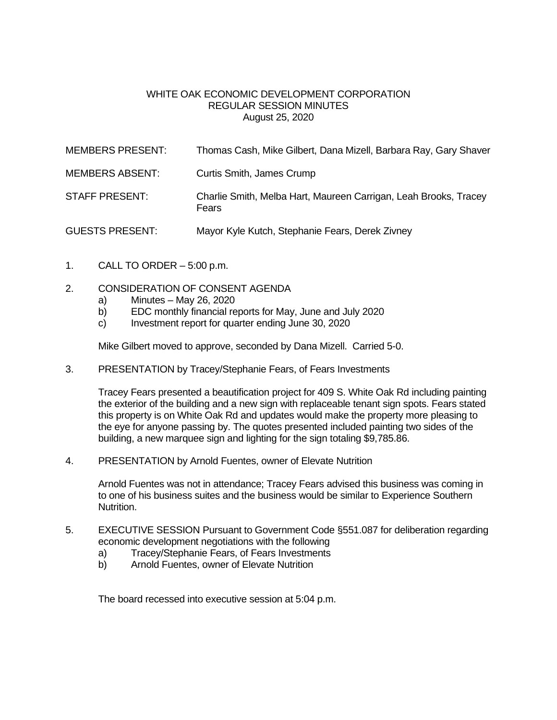## WHITE OAK ECONOMIC DEVELOPMENT CORPORATION REGULAR SESSION MINUTES August 25, 2020

| <b>MEMBERS PRESENT:</b> | Thomas Cash, Mike Gilbert, Dana Mizell, Barbara Ray, Gary Shaver          |
|-------------------------|---------------------------------------------------------------------------|
| <b>MEMBERS ABSENT:</b>  | Curtis Smith, James Crump                                                 |
| <b>STAFF PRESENT:</b>   | Charlie Smith, Melba Hart, Maureen Carrigan, Leah Brooks, Tracey<br>Fears |
| <b>GUESTS PRESENT:</b>  | Mayor Kyle Kutch, Stephanie Fears, Derek Zivney                           |

- 1. CALL TO ORDER  $-5:00$  p.m.
- 2. CONSIDERATION OF CONSENT AGENDA
	- a) Minutes May 26, 2020
	- b) EDC monthly financial reports for May, June and July 2020
	- c) Investment report for quarter ending June 30, 2020

Mike Gilbert moved to approve, seconded by Dana Mizell. Carried 5-0.

3. PRESENTATION by Tracey/Stephanie Fears, of Fears Investments

Tracey Fears presented a beautification project for 409 S. White Oak Rd including painting the exterior of the building and a new sign with replaceable tenant sign spots. Fears stated this property is on White Oak Rd and updates would make the property more pleasing to the eye for anyone passing by. The quotes presented included painting two sides of the building, a new marquee sign and lighting for the sign totaling \$9,785.86.

4. PRESENTATION by Arnold Fuentes, owner of Elevate Nutrition

Arnold Fuentes was not in attendance; Tracey Fears advised this business was coming in to one of his business suites and the business would be similar to Experience Southern Nutrition.

- 5. EXECUTIVE SESSION Pursuant to Government Code §551.087 for deliberation regarding economic development negotiations with the following
	- a) Tracey/Stephanie Fears, of Fears Investments
	- b) Arnold Fuentes, owner of Elevate Nutrition

The board recessed into executive session at 5:04 p.m.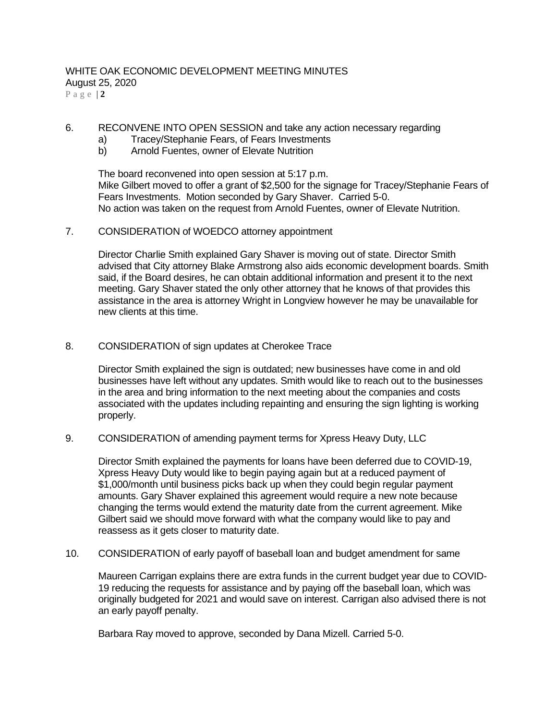#### WHITE OAK ECONOMIC DEVELOPMENT MEETING MINUTES August 25, 2020 P a g e | **2**

- 6. RECONVENE INTO OPEN SESSION and take any action necessary regarding
	- a) Tracey/Stephanie Fears, of Fears Investments
	- b) Arnold Fuentes, owner of Elevate Nutrition

The board reconvened into open session at 5:17 p.m. Mike Gilbert moved to offer a grant of \$2,500 for the signage for Tracey/Stephanie Fears of Fears Investments. Motion seconded by Gary Shaver. Carried 5-0. No action was taken on the request from Arnold Fuentes, owner of Elevate Nutrition.

## 7. CONSIDERATION of WOEDCO attorney appointment

Director Charlie Smith explained Gary Shaver is moving out of state. Director Smith advised that City attorney Blake Armstrong also aids economic development boards. Smith said, if the Board desires, he can obtain additional information and present it to the next meeting. Gary Shaver stated the only other attorney that he knows of that provides this assistance in the area is attorney Wright in Longview however he may be unavailable for new clients at this time.

#### 8. CONSIDERATION of sign updates at Cherokee Trace

Director Smith explained the sign is outdated; new businesses have come in and old businesses have left without any updates. Smith would like to reach out to the businesses in the area and bring information to the next meeting about the companies and costs associated with the updates including repainting and ensuring the sign lighting is working properly.

9. CONSIDERATION of amending payment terms for Xpress Heavy Duty, LLC

Director Smith explained the payments for loans have been deferred due to COVID-19, Xpress Heavy Duty would like to begin paying again but at a reduced payment of \$1,000/month until business picks back up when they could begin regular payment amounts. Gary Shaver explained this agreement would require a new note because changing the terms would extend the maturity date from the current agreement. Mike Gilbert said we should move forward with what the company would like to pay and reassess as it gets closer to maturity date.

10. CONSIDERATION of early payoff of baseball loan and budget amendment for same

Maureen Carrigan explains there are extra funds in the current budget year due to COVID-19 reducing the requests for assistance and by paying off the baseball loan, which was originally budgeted for 2021 and would save on interest. Carrigan also advised there is not an early payoff penalty.

Barbara Ray moved to approve, seconded by Dana Mizell. Carried 5-0.